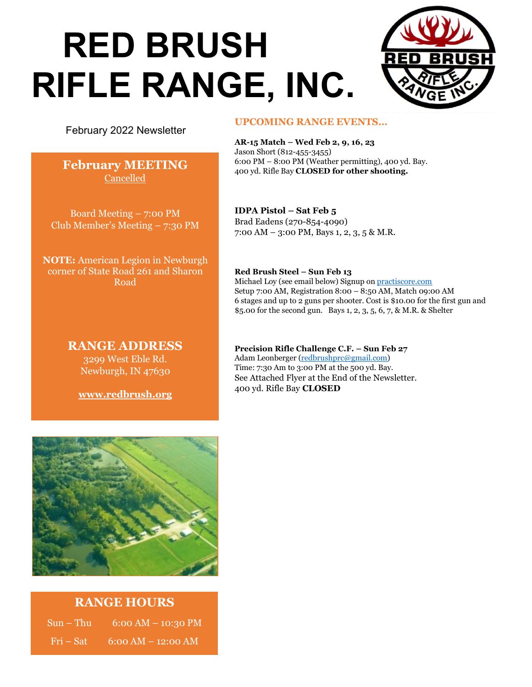# **RED BRUSH RIFLE RANGE, INC.**



#### February 2022 Newsletter

#### **February MEETING**  Cancelled

Board Meeting – 7:00 PM Club Member's Meeting – 7:30 PM

**NOTE:** American Legion in Newburgh corner of State Road 261 and Sharon Road

> **RANGE ADDRESS** 3299 West Eble Rd. Newburgh, IN 47630

**www.redbrush.org** 

#### **UPCOMING RANGE EVENTS…**

**AR-15 Match – Wed Feb 2, 9, 16, 23** Jason Short (812-455-3455) 6:00 PM – 8:00 PM (Weather permitting), 400 yd. Bay. 400 yd. Rifle Bay **CLOSED for other shooting.** 

**IDPA Pistol – Sat Feb 5** Brad Eadens (270-854-4090) 7:00 AM – 3:00 PM, Bays 1, 2, 3, 5 & M.R.

#### **Red Brush Steel – Sun Feb 13**

Michael Loy (see email below) Signup on practiscore.com Setup 7:00 AM, Registration 8:00 – 8:50 AM, Match 09:00 AM 6 stages and up to 2 guns per shooter. Cost is \$10.00 for the first gun and \$5.00 for the second gun. Bays 1, 2, 3, 5, 6, 7, & M.R. & Shelter

#### **Precision Rifle Challenge C.F. – Sun Feb 27**

Adam Leonberger (redbrushprc@gmail.com) Time: 7:30 Am to 3:00 PM at the 500 yd. Bay. See Attached Flyer at the End of the Newsletter. 400 yd. Rifle Bay **CLOSED** 



#### **RANGE HOURS**

| $Sum - Thu$ | 6:00 AM $-$ 10:30 PM                        |
|-------------|---------------------------------------------|
| Fri – Sat   | $6:00$ $\overline{\rm AM}$ – 12:00 $\rm AM$ |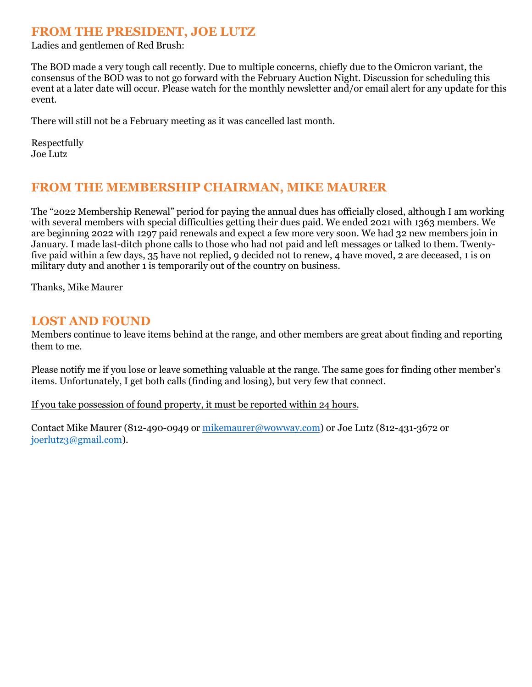#### **FROM THE PRESIDENT, JOE LUTZ**

Ladies and gentlemen of Red Brush:

The BOD made a very tough call recently. Due to multiple concerns, chiefly due to the Omicron variant, the consensus of the BOD was to not go forward with the February Auction Night. Discussion for scheduling this event at a later date will occur. Please watch for the monthly newsletter and/or email alert for any update for this event.

There will still not be a February meeting as it was cancelled last month.

Respectfully Joe Lutz

#### **FROM THE MEMBERSHIP CHAIRMAN, MIKE MAURER**

The "2022 Membership Renewal" period for paying the annual dues has officially closed, although I am working with several members with special difficulties getting their dues paid. We ended 2021 with 1363 members. We are beginning 2022 with 1297 paid renewals and expect a few more very soon. We had 32 new members join in January. I made last-ditch phone calls to those who had not paid and left messages or talked to them. Twentyfive paid within a few days, 35 have not replied, 9 decided not to renew, 4 have moved, 2 are deceased, 1 is on military duty and another 1 is temporarily out of the country on business.

Thanks, Mike Maurer

#### **LOST AND FOUND**

Members continue to leave items behind at the range, and other members are great about finding and reporting them to me.

Please notify me if you lose or leave something valuable at the range. The same goes for finding other member's items. Unfortunately, I get both calls (finding and losing), but very few that connect.

If you take possession of found property, it must be reported within 24 hours.

Contact Mike Maurer (812-490-0949 or mikemaurer@wowway.com) or Joe Lutz (812-431-3672 or joerlutz3@gmail.com).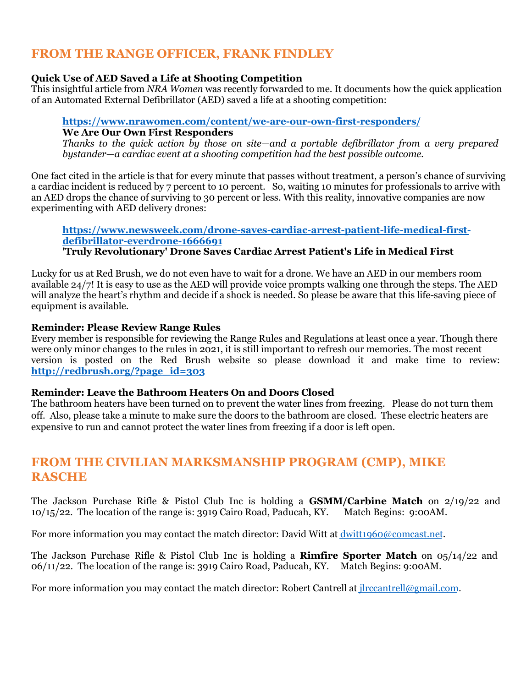### **FROM THE RANGE OFFICER, FRANK FINDLEY**

#### **Quick Use of AED Saved a Life at Shooting Competition**

This insightful article from *NRA Women* was recently forwarded to me. It documents how the quick application of an Automated External Defibrillator (AED) saved a life at a shooting competition:

#### **https://www.nrawomen.com/content/we-are-our-own-first-responders/**

**We Are Our Own First Responders** 

*Thanks to the quick action by those on site—and a portable defibrillator from a very prepared bystander—a cardiac event at a shooting competition had the best possible outcome.* 

One fact cited in the article is that for every minute that passes without treatment, a person's chance of surviving a cardiac incident is reduced by 7 percent to 10 percent. So, waiting 10 minutes for professionals to arrive with an AED drops the chance of surviving to 30 percent or less. With this reality, innovative companies are now experimenting with AED delivery drones:

#### **https://www.newsweek.com/drone-saves-cardiac-arrest-patient-life-medical-firstdefibrillator-everdrone-1666691**

#### **'Truly Revolutionary' Drone Saves Cardiac Arrest Patient's Life in Medical First**

Lucky for us at Red Brush, we do not even have to wait for a drone. We have an AED in our members room available 24/7! It is easy to use as the AED will provide voice prompts walking one through the steps. The AED will analyze the heart's rhythm and decide if a shock is needed. So please be aware that this life-saving piece of equipment is available.

#### **Reminder: Please Review Range Rules**

Every member is responsible for reviewing the Range Rules and Regulations at least once a year. Though there were only minor changes to the rules in 2021, it is still important to refresh our memories. The most recent version is posted on the Red Brush website so please download it and make time to review: **http://redbrush.org/?page\_id=303**

#### **Reminder: Leave the Bathroom Heaters On and Doors Closed**

The bathroom heaters have been turned on to prevent the water lines from freezing. Please do not turn them off. Also, please take a minute to make sure the doors to the bathroom are closed. These electric heaters are expensive to run and cannot protect the water lines from freezing if a door is left open.

### **FROM THE CIVILIAN MARKSMANSHIP PROGRAM (CMP), MIKE RASCHE**

The Jackson Purchase Rifle & Pistol Club Inc is holding a **GSMM/Carbine Match** on 2/19/22 and 10/15/22. The location of the range is: 3919 Cairo Road, Paducah, KY. Match Begins: 9:00AM.

For more information you may contact the match director: David Witt at  $\frac{dwitt1960@{\rm{concat.net}}}{dx}$ .

The Jackson Purchase Rifle & Pistol Club Inc is holding a **Rimfire Sporter Match** on 05/14/22 and 06/11/22. The location of the range is: 3919 Cairo Road, Paducah, KY. Match Begins: 9:00AM.

For more information you may contact the match director: Robert Cantrell at jlrccantrell@gmail.com.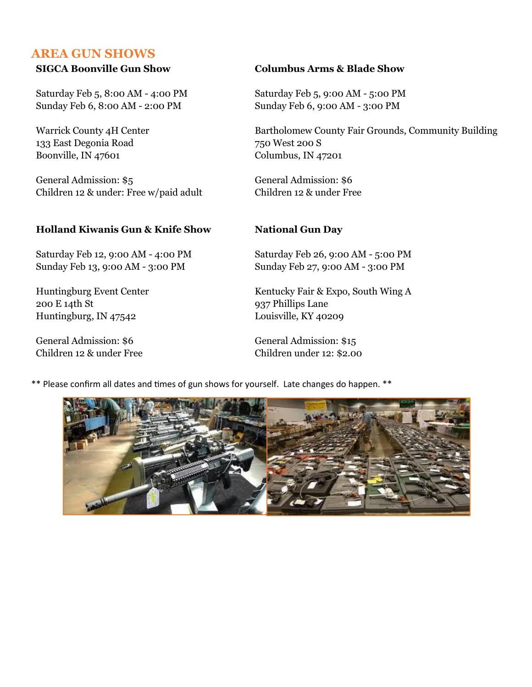#### **AREA GUN SHOWS**

Saturday Feb 5, 8:00 AM - 4:00 PM Saturday Feb 5, 9:00 AM - 5:00 PM Sunday Feb 6, 8:00 AM - 2:00 PM Sunday Feb 6, 9:00 AM - 3:00 PM

133 East Degonia Road 750 West 200 S Boonville, IN 47601 Columbus, IN 47201

General Admission: \$5 General Admission: \$6 Children 12 & under: Free w/paid adult Children 12 & under Free

#### **Holland Kiwanis Gun & Knife Show National Gun Day**

Sunday Feb 13, 9:00 AM - 3:00 PM Sunday Feb 27, 9:00 AM - 3:00 PM

200 E 14th St 937 Phillips Lane Huntingburg, IN 47542 Louisville, KY 40209

General Admission: \$6 General Admission: \$15 Children 12 & under Free Children under 12: \$2.00

#### **SIGCA Boonville Gun Show Columbus Arms & Blade Show**

Warrick County 4H Center Bartholomew County Fair Grounds, Community Building

Saturday Feb 12, 9:00 AM - 4:00 PM Saturday Feb 26, 9:00 AM - 5:00 PM

Huntingburg Event Center Kentucky Fair & Expo, South Wing A

\*\* Please confirm all dates and times of gun shows for yourself. Late changes do happen. \*\*

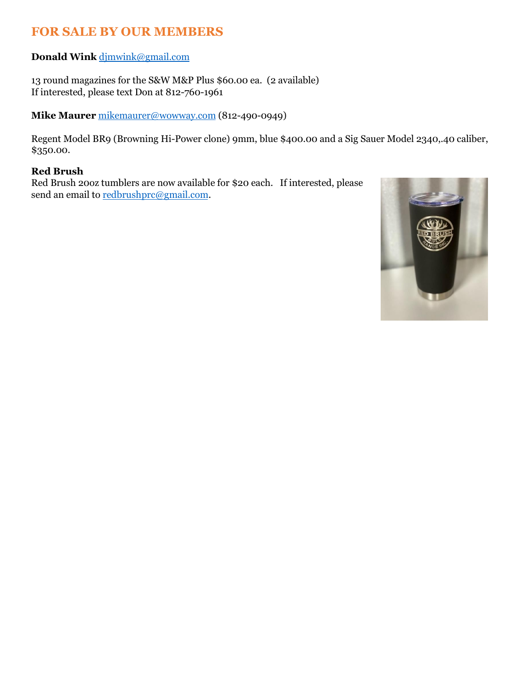### **FOR SALE BY OUR MEMBERS**

#### **Donald Wink** djmwink@gmail.com

13 round magazines for the S&W M&P Plus \$60.00 ea. (2 available) If interested, please text Don at 812-760-1961

**Mike Maurer** mikemaurer@wowway.com (812-490-0949)

Regent Model BR9 (Browning Hi-Power clone) 9mm, blue \$400.00 and a Sig Sauer Model 2340,.40 caliber, \$350.00.

#### **Red Brush**

Red Brush 20oz tumblers are now available for \$20 each. If interested, please send an email to redbrushprc@gmail.com.

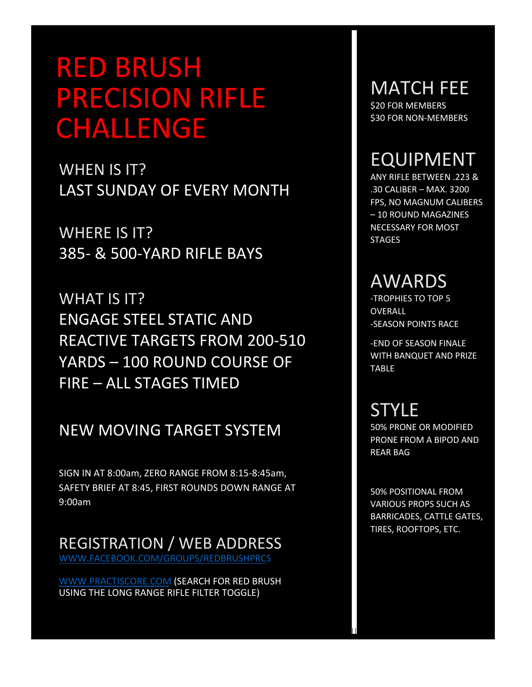## RED BRUSH PRECISION RIFLE **CHALLENGE**

WHEN IS IT? LAST SUNDAY OF EVERY MONTH

WHERE IS IT? 385- & 500-YARD RIFLE BAYS

WHAT IS IT? ENGAGE STEEL STATIC AND REACTIVE TARGETS FROM 200-510 YARDS – 100 ROUND COURSE OF FIRE – ALL STAGES TIMED

### NEW MOVING TARGET SYSTEM

SIGN IN AT 8:00am, ZERO RANGE FROM 8:15-8:45am, SAFETY BRIEF AT 8:45, FIRST ROUNDS DOWN RANGE AT 9:00am

REGISTRATION / WEB ADDRESS WWW.FACEBOOK.COM/GROUPS/REDBRUSHPRCS

WWW.PRACTISCORE.COM (SEARCH FOR RED BRUSH USING THE LONG RANGE RIFLE FILTER TOGGLE)

## MATCH FEE

\$20 FOR MEMBERS \$30 FOR NON-MEMBERS

## EQUIPMENT

ANY RIFLE BETWEEN .223 & .30 CALIBER – MAX. 3200 FPS, NO MAGNUM CALIBERS – 10 ROUND MAGAZINES NECESSARY FOR MOST **STAGES** 

### AWARDS

-TROPHIES TO TOP 5 OVERALL -SEASON POINTS RACE

-END OF SEASON FINALE WITH BANQUET AND PRIZE TABLE

## **STYLE**

50% PRONE OR MODIFIED PRONE FROM A BIPOD AND REAR BAG

50% POSITIONAL FROM VARIOUS PROPS SUCH AS BARRICADES, CATTLE GATES, TIRES, ROOFTOPS, ETC.